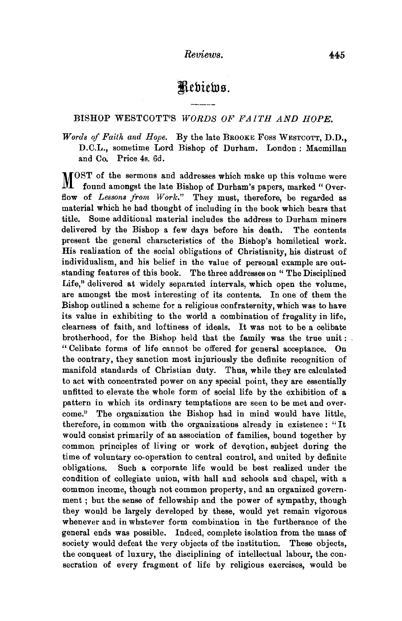# Rebiews.

# BISHOP WESTCOTT'S *WORDS OF FAITH AND HOPE.*

*Words of Faith and Hope.* By the late BROOKE Foss WESTCOTT, D.D., D.C.L., sometime Lord Bishop of Durham. London: Macmillan and Co. Price 4s. 6d.

MOST of the sermons and addresses which make up this volume were<br>M found amongst the late Bishon of Durham's naners marked "Overfound amongst the late Bishop of Durham's papers, marked "Overflow of *Lessons from Work."* They must, therefore, be regarded as material which he had thought of including in the book which bears that title. Some additional material includes the address to Durham miners delivered by the Bishop a few days before his death. The contents present the general characteristics of the Bishop's homiletical work. His realization of the social obligations of Christianity, his distrust of individualism, and his belief in the value of personal example are outstanding features of this book. The three addresses on " The Disciplined Life," delivered at widely separated intervals, which open the volume, are amongst the most interesting of its contents. In one of them the Bishop outlined a scheme for a religious confraternity, which was to have its value in exhibiting to the world a combination of frugality in life, clearness of faith, and loftiness of ideals. It was not to be a celibate brotherhood, for the Bishop held that the family was the true unit : " Celibate forms of life cannot be offered for general acceptance. On the contrary, they sanction most injuriously the definite recognition of manifold standards of Christian duty. Thus, while they are calculated to act with concentrated power on any special point, they are essentially unfitted to elevate the whole form of social life by the exhibition of a pattern in which its ordinary temptations are seen to be met and overcome." The organization the Bishop had in mind would have little, therefore, in common with the organizations already in existence : "It would consist primarily of an association of families, bound together by common principles of living or work of devqtion, subject during the time of voluntary co-operation to central control, and united by definite obligations. Such a corporate life would be best realized under the condition of collegiate union, with hall and schools and chapel, with a common income, though not common property, and an organized government ; but the sense of fellowship and the power of sympathy, though they would be largely developed by these, would yet remain vigorous whenever and in whatever form combination in the furtherance of the general ends was possible. Indeed, complete isolation from the mass of society would defeat the very objects of the institution. These objects, the conquest of luxury, the disciplining of intellectual labour, the consecration of every fragment of life by religious exercises, would be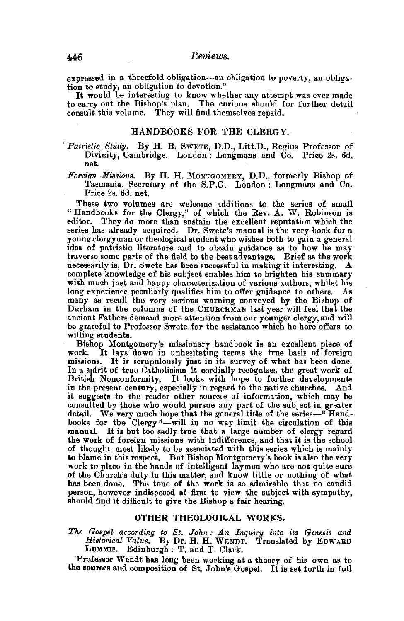expressed in a threefold obligation-an obligation to poverty, an obligation to study, an obligation to devotion.''

It would be interesting to know whether any attempt was ever made to carry out the Bishop's plan. The curious should for further detail consult this volume. They will find themselves repaid.

## HANDBOOKS FOR THE CLERGY.

,. *Patristic Study.* By H. B. SWETE, D.D., Litt.D., Regius Professor of Divinity, Cambridge. London : Longmans and Co. Price 2s. 6d. net.

*Foreign Missions.* By H. H. MoNTGOMERY, D.D., formerly Bishop of Tasmania, Secretary of the S.P.G. London: Longmans and Co. Price 2s. 6d. net.

These two volumes are welcome additions to the series of small "Handbooks for the Clergy," of which the Rev. A. W. Robinson is editor. They do more than sustain the excellent reputation which the series has already acquired. Dr. Swete's manual is the very book for a young clergyman or theological student who wishes both to gain a general idea of patristic literature and to obtain guidance as to how he may traverse some parts of the field to the best advantage. Brief as the work necessarily is, Dr. Swete has been successful in making it interesting. A complete knowledge of his subject enables him to brighten his summary with much just and happy characterization of various authors, whilst his long experience peculiarly qualifies him to offer guidance to others. As many as recall the very serious warning conveyed by the Bishop of Durham in the columns of the CHURCHMAN last year will feel that the ancient Fathers demand more attention from our younger clergy, and will be grateful to Professor Swete for the assistance which he here offers to willing students.

Bishop Montgomery's missionary handbook is an excellent piece of It lays down in unhesitating terms the true basis of foreign missions. It is scrupulously just in its survey of what has been done. In a spirit of true Catholicism it cordially recognises the great work of British Nonconformity. It looks with hope to further developments in the present century, especially in regard to the native churches. And it suggests to the reader other sources of information, which may be consulted by those who would pursue any part of the subject in greater detail. We very much hope that the general title of the series-"Handbooks for the Clergy "-will in no way limit the circulation of this manual. It is but too sadly true that a large number of clergy regard the work of foreign missions with indifference, and that it is the school of thought most likely to be associated with this series which is mainly to blame in this respect. But Bishop Montgomery's book is also the very work to place in the hands of intelligent laymen who are not quite sure of the Church's duty in this matter, and know little or nothing of what has been done. The tone of the work is so admirable that no candid person, however indisposed at first to view the subject with sympathy, should find it difficult to give the Bishop a fair hearing.

#### OTHER THEOLOOICAL WORKS.

*The Gospel according to St. John: An Inquiry into its Genesis and Histarical Value.* By Dr. H. H. WENDT. Translated by EDWARD LUMMIS. Edinburgh: T. and T. Clark.

'Professor Wendt bas long been working at a theory of his own as to the souroes and composition of St. John's Gospel. It is set forth in full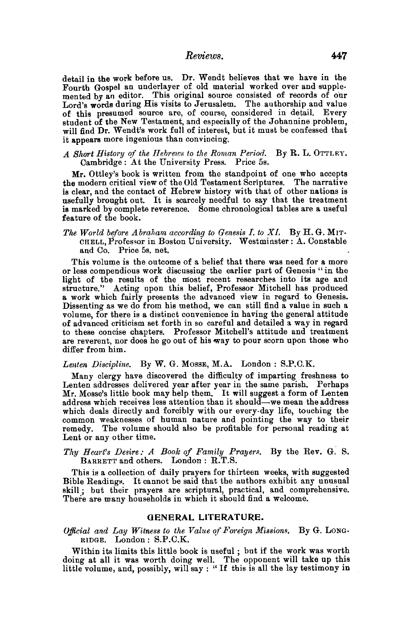*Reviews.* 447

detail in the work before us. Dr. Wendt believes that we have in the Fourth Gospel an underlayer of old material worked over and supplemented by an editor. This original source consisted of records of our Lord's words during His visits to Jerusalem. The authorship and value of this presumed source are, of course, considered in detail. Every student of the New Testament, and especially of the Johannine problem, will find Dr. Wendt's work full of interest, but it must be confessed that it appears more ingenious than convincing.

### A Short History of the Hebrews to the Roman Period. By R. L. OTTLEY. Cambridge: At the University Press. Price 5s.

Mr. Ottley's book is written from the standpoint of one who accepts the modern critical view of the Old Testament Scriptures. The narrative is clear, and the contact of Hebrew history with that of other nations is usefully brought out. It is scarcely needful to say that the treatment is marked by complete reverence. Some chronological tables are a useful feature of the book.

*The World before Abraham according to Genesis I. to XI.* By H.G. MIT-CHELL, Professor in Boston University. Westminster: A. Constable and Co. Price 5s. net.

This volume is the outcome of a belief that there was need for a more or less compendious work discussing the earlier part of Genesis "in the light of the results of the most recent researches into its age and structure." Acting upon this belief, Professor Mitchell has produced a work which fairly presents the advanced view in regard to Genesis. Dissenting as we do from his method, we can still find a value in such a volume, for there is a distinct convenience in having the general attitude of advanced criticism set forth in so careful and detailed a way in regard are reverent, nor does he go out of his way to pour scorn upon those who differ from him.

#### *Lenten Discipline.* By W. G. MossE, M.A. London : S.P.C.K.

Many clergy have discovered the difficulty of imparting freshness to Lenten addresses delivered year after year in the same parish. Perhaps Mr. Mosse's little book may help them. It will suggest a form of Lenten address which receives less attention than it should—we mean the address which deals directly and forcibly with our every-day life, touching the common weaknesses of human nature and pointing the way to their remedy. The volume should also be profitable for personal reading at Lent or any other time.

## *Thy Heart's Desire: A Book of Family* Prayer.~. By the Rev. G. S. BARRETT and others. London: R.T.S.

This is a collection of daily prayers for thirteen weeks, with suggested Bible Readings. It cannot be said that the authors exhibit any unusual skill; but their prayers are scriptural, practical, and comprehensive. There are many households in which it should find a welcome.

#### GENERAL LITERATURE.

*Official and Lay Witness to the Value of Fm·eign Missions.* By G. LONG· RIDGE. London: S.P.C.K.

Within its limits this little book is useful ; but if the work was worth doing at all it was worth doing well. The opponent will take up this little volume, and, possibly, will say : "If this is all the lay testimony in